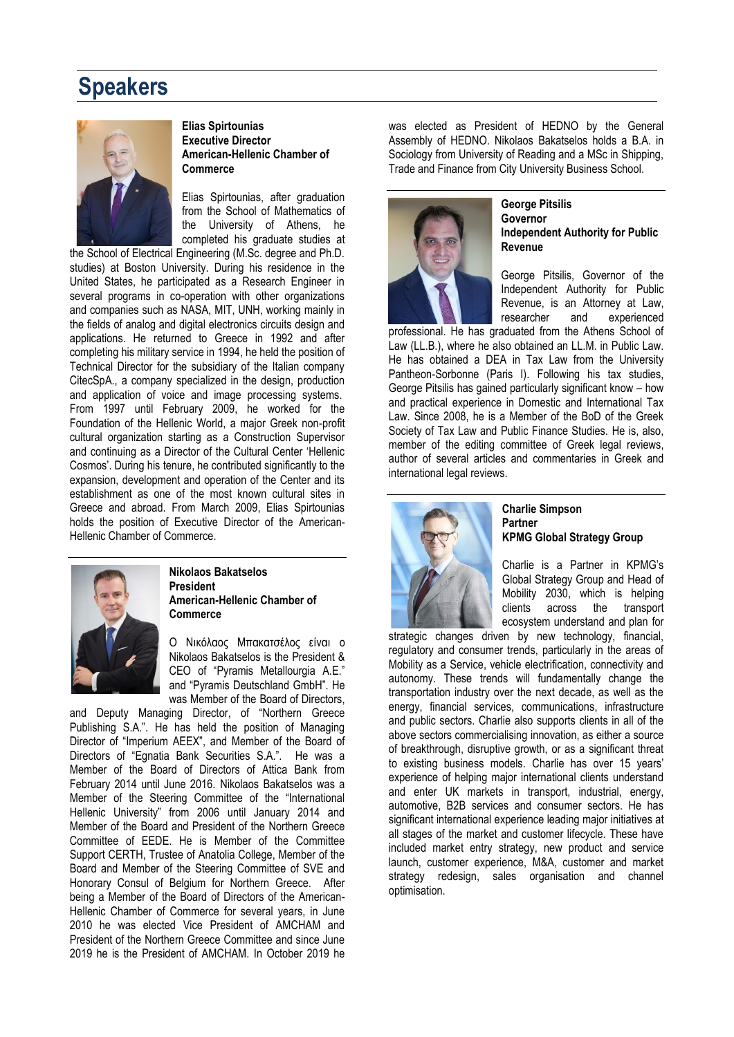# **Speakers**



### **Elias Spirtounias Executive Director American-Hellenic Chamber of Commerce**

Elias Spirtounias, after graduation from the School of Mathematics of the University of Athens, he completed his graduate studies at

the School of Electrical Engineering (M.Sc. degree and Ph.D. studies) at Boston University. During his residence in the United States, he participated as a Research Engineer in several programs in co-operation with other organizations and companies such as NASA, MIT, UNH, working mainly in the fields of analog and digital electronics circuits design and applications. He returned to Greece in 1992 and after completing his military service in 1994, he held the position of Technical Director for the subsidiary of the Italian company CitecSpA., a company specialized in the design, production and application of voice and image processing systems. From 1997 until February 2009, he worked for the Foundation of the Hellenic World, a major Greek non-profit cultural organization starting as a Construction Supervisor and continuing as a Director of the Cultural Center 'Hellenic Cosmos'. During his tenure, he contributed significantly to the expansion, development and operation of the Center and its establishment as one of the most known cultural sites in Greece and abroad. From March 2009, Elias Spirtounias holds the position of Executive Director of the American-Hellenic Chamber of Commerce.



### **Nikolaos Bakatselos President American-Hellenic Chamber of Commerce**

Ο Νικόλαος Μπακατσέλος είναι ο Nikolaos Bakatselos is the President & CEO of "Pyramis Metallourgia A.E." and "Pyramis Deutschland GmbH". He was Member of the Board of Directors.

and Deputy Managing Director, of "Northern Greece Publishing S.A.". He has held the position of Managing Director of "Imperium AEEX", and Member of the Board of Directors of "Egnatia Bank Securities S.A.". He was a Member of the Board of Directors of Attica Bank from February 2014 until June 2016. Nikolaos Bakatselos was a Member of the Steering Committee of the "International Hellenic University" from 2006 until January 2014 and Member of the Board and President of the Northern Greece Committee of EEDE. He is Member of the Committee Support CERTH, Trustee of Anatolia College, Member of the Board and Member of the Steering Committee of SVE and Honorary Consul of Belgium for Northern Greece. After being a Member of the Board of Directors of the American-Hellenic Chamber of Commerce for several years, in June 2010 he was elected Vice President of AMCHAM and President of the Northern Greece Committee and since June 2019 he is the President of AMCHAM. In October 2019 he

was elected as President of HEDNO by the General Assembly of HEDNO. Nikolaos Bakatselos holds a B.A. in Sociology from University of Reading and a MSc in Shipping, Trade and Finance from City University Business School.



#### **George Pitsilis Governor Independent Authority for Public Revenue**

George Pitsilis, Governor of the Independent Authority for Public Revenue, is an Attorney at Law, researcher and experienced

professional. He has graduated from the Athens School of Law (LL.B.), where he also obtained an LL.M. in Public Law. He has obtained a DEA in Tax Law from the University Pantheon-Sorbonne (Paris I). Following his tax studies, George Pitsilis has gained particularly significant know – how and practical experience in Domestic and International Tax Law. Since 2008, he is a Member of the BoD of the Greek Society of Tax Law and Public Finance Studies. He is, also, member of the editing committee of Greek legal reviews, author of several articles and commentaries in Greek and international legal reviews.



## **Charlie Simpson Partner KPMG Global Strategy Group**

Charlie is a Partner in KPMG's Global Strategy Group and Head of Mobility 2030, which is helping clients across the transport ecosystem understand and plan for

strategic changes driven by new technology, financial, regulatory and consumer trends, particularly in the areas of Mobility as a Service, vehicle electrification, connectivity and autonomy. These trends will fundamentally change the transportation industry over the next decade, as well as the energy, financial services, communications, infrastructure and public sectors. Charlie also supports clients in all of the above sectors commercialising innovation, as either a source of breakthrough, disruptive growth, or as a significant threat to existing business models. Charlie has over 15 years' experience of helping major international clients understand and enter UK markets in transport, industrial, energy, automotive, B2B services and consumer sectors. He has significant international experience leading major initiatives at all stages of the market and customer lifecycle. These have included market entry strategy, new product and service launch, customer experience, M&A, customer and market strategy redesign, sales organisation and channel optimisation.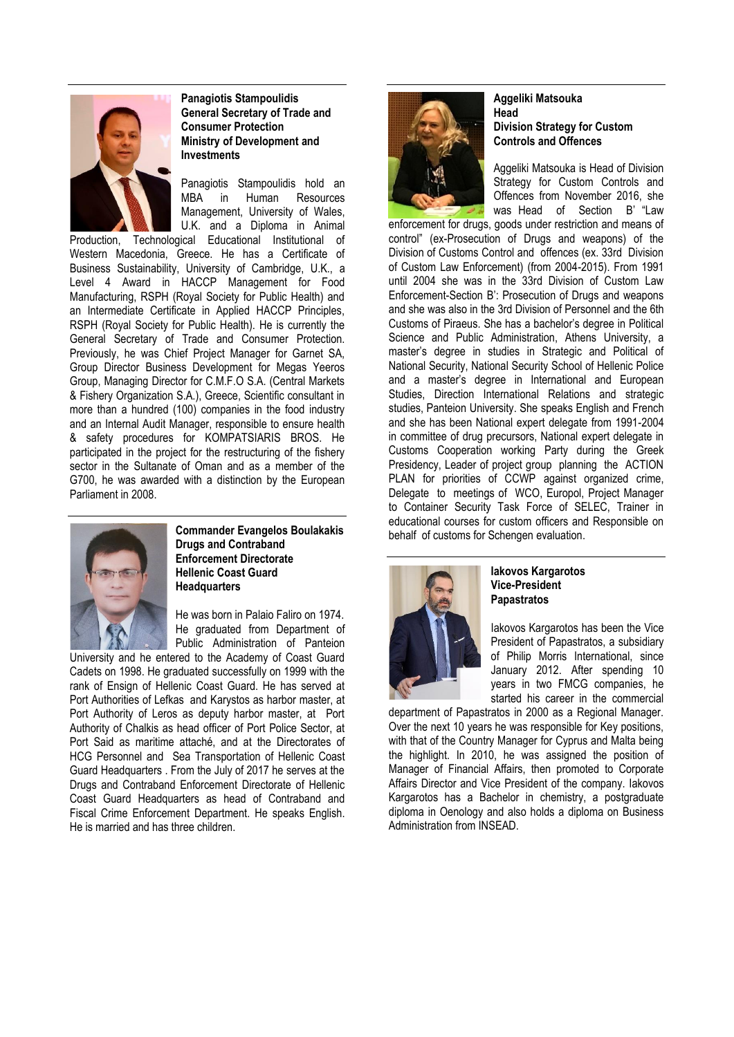

**Panagiotis Stampoulidis General Secretary of Trade and Consumer Protection Ministry of Development and Investments**

Panagiotis Stampoulidis hold an MBA in Human Resources Management, University of Wales, U.K. and a Diploma in Animal

Production, Technological Educational Institutional of Western Macedonia, Greece. He has a Certificate of Business Sustainability, University of Cambridge, U.K., a Level 4 Award in HACCP Management for Food Manufacturing, RSPH (Royal Society for Public Health) and an Intermediate Certificate in Applied HACCP Principles, RSPH (Royal Society for Public Health). He is currently the General Secretary of Trade and Consumer Protection. Previously, he was Chief Project Manager for Garnet SA, Group Director Business Development for Megas Yeeros Group, Managing Director for C.M.F.O S.A. (Central Markets & Fishery Organization S.A.), Greece, Scientific consultant in more than a hundred (100) companies in the food industry and an Internal Audit Manager, responsible to ensure health & safety procedures for KOMPATSIARIS BROS. He participated in the project for the restructuring of the fishery sector in the Sultanate of Oman and as a member of the G700, he was awarded with a distinction by the European Parliament in 2008.



**Commander Evangelos Boulakakis Drugs and Contraband Enforcement Directorate Hellenic Coast Guard Headquarters**

He was born in Palaio Faliro on 1974. He graduated from Department of Public Administration of Panteion

University and he entered to the Academy of Coast Guard Cadets on 1998. He graduated successfully on 1999 with the rank of Ensign of Hellenic Coast Guard. He has served at Port Authorities of Lefkas and Karystos as harbor master, at Port Authority of Leros as deputy harbor master, at Port Authority of Chalkis as head officer of Port Police Sector, at Port Said as maritime attaché, and at the Directorates of HCG Personnel and Sea Transportation of Hellenic Coast Guard Headquarters . From the July of 2017 he serves at the Drugs and Contraband Enforcement Directorate of Hellenic Coast Guard Headquarters as head of Contraband and Fiscal Crime Enforcement Department. He speaks English. He is married and has three children.



## **Aggeliki Matsouka Head Division Strategy for Custom Controls and Offences**

Aggeliki Matsouka is Head of Division Strategy for Custom Controls and Offences from November 2016, she was Head of Section B' "Law

enforcement for drugs, goods under restriction and means of control" (ex-Prosecution of Drugs and weapons) of the Division of Customs Control and offences (ex. 33rd Division of Custom Law Enforcement) (from 2004-2015). From 1991 until 2004 she was in the 33rd Division of Custom Law Enforcement-Section B': Prosecution of Drugs and weapons and she was also in the 3rd Division of Personnel and the 6th Customs of Piraeus. She has a bachelor's degree in Political Science and Public Administration, Athens University, a master's degree in studies in Strategic and Political of National Security, National Security School of Hellenic Police and a master's degree in International and European Studies, Direction International Relations and strategic studies, Panteion University. She speaks English and French and she has been National expert delegate from 1991-2004 in committee of drug precursors, National expert delegate in Customs Cooperation working Party during the Greek Presidency, Leader of project group planning the ACTION PLAN for priorities of CCWP against organized crime, Delegate to meetings of WCO, Europol, Project Manager to Container Security Task Force of SELEC, Trainer in educational courses for custom officers and Responsible on behalf of customs for Schengen evaluation.



**Iakovos Kargarotos Vice-President Papastratos**

Iakovos Kargarotos has been the Vice President of Papastratos, a subsidiary of Philip Morris International, since January 2012. After spending 10 years in two FMCG companies, he started his career in the commercial

department of Papastratos in 2000 as a Regional Manager. Over the next 10 years he was responsible for Key positions, with that of the Country Manager for Cyprus and Malta being the highlight. In 2010, he was assigned the position of Manager of Financial Affairs, then promoted to Corporate Affairs Director and Vice President of the company. Iakovos Kargarotos has a Bachelor in chemistry, a postgraduate diploma in Oenology and also holds a diploma on Business Administration from INSEAD.